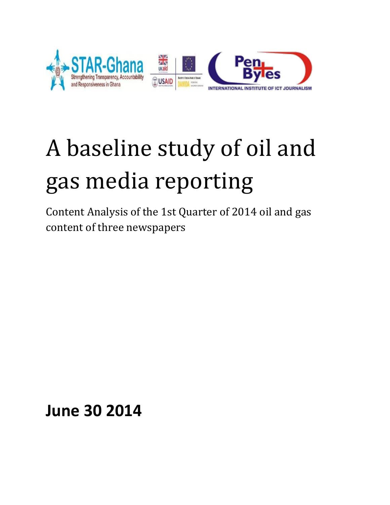

# A baseline study of oil and gas media reporting

Content Analysis of the 1st Quarter of 2014 oil and gas content of three newspapers

**June 30 2014**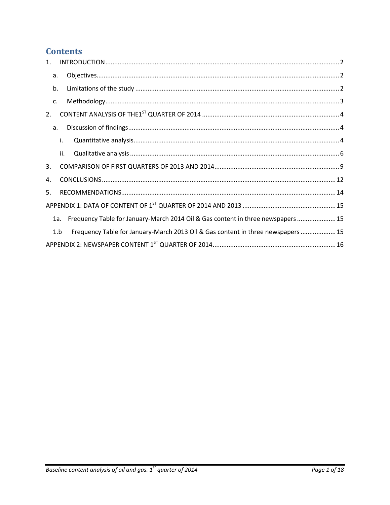# **Contents**

| $\mathbf{1}$ . |     |                                                                                  |
|----------------|-----|----------------------------------------------------------------------------------|
| a.             |     |                                                                                  |
| b.             |     |                                                                                  |
| c.             |     |                                                                                  |
| 2.             |     |                                                                                  |
| a.             |     |                                                                                  |
|                | i.  |                                                                                  |
|                | ii. |                                                                                  |
| 3.             |     |                                                                                  |
| 4.             |     |                                                                                  |
| .5.            |     |                                                                                  |
|                |     |                                                                                  |
|                | 1a. | Frequency Table for January-March 2014 Oil & Gas content in three newspapers  15 |
|                | 1.b | Frequency Table for January-March 2013 Oil & Gas content in three newspapers  15 |
|                |     |                                                                                  |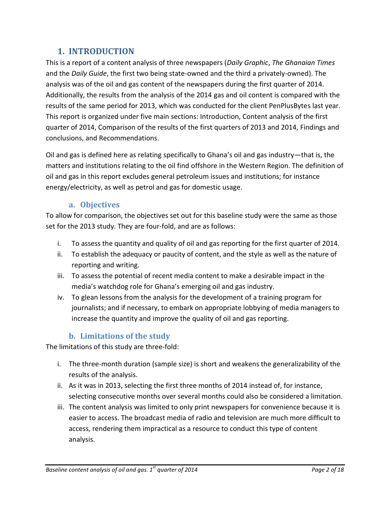## **1. INTRODUCTION**

<span id="page-2-0"></span>This is a report of a content analysis of three newspapers (*Daily Graphic*, *The Ghanaian Times* and the *Daily Guide*, the first two being state-owned and the third a privately-owned). The analysis was of the oil and gas content of the newspapers during the first quarter of 2014. Additionally, the results from the analysis of the 2014 gas and oil content is compared with the results of the same period for 2013, which was conducted for the client PenPlusBytes last year. This report is organized under five main sections: Introduction, Content analysis of the first quarter of 2014, Comparison of the results of the first quarters of 2013 and 2014, Findings and conclusions, and Recommendations.

Oil and gas is defined here as relating specifically to Ghana's oil and gas industry—that is, the matters and institutions relating to the oil find offshore in the Western Region. The definition of oil and gas in this report excludes general petroleum issues and institutions; for instance energy/electricity, as well as petrol and gas for domestic usage.

#### **a. Objectives**

<span id="page-2-1"></span>To allow for comparison, the objectives set out for this baseline study were the same as those set for the 2013 study. They are four-fold, and are as follows:

- i. To assess the quantity and quality of oil and gas reporting for the first quarter of 2014.
- ii. To establish the adequacy or paucity of content, and the style as well as the nature of reporting and writing.
- iii. To assess the potential of recent media content to make a desirable impact in the media's watchdog role for Ghana's emerging oil and gas industry.
- iv. To glean lessons from the analysis for the development of a training program for journalists; and if necessary, to embark on appropriate lobbying of media managers to increase the quantity and improve the quality of oil and gas reporting.

## **b. Limitations of the study**

<span id="page-2-2"></span>The limitations of this study are three-fold:

- i. The three-month duration (sample size) is short and weakens the generalizability of the results of the analysis.
- ii. As it was in 2013, selecting the first three months of 2014 instead of, for instance, selecting consecutive months over several months could also be considered a limitation.
- iii. The content analysis was limited to only print newspapers for convenience because it is easier to access. The broadcast media of radio and television are much more difficult to access, rendering them impractical as a resource to conduct this type of content analysis.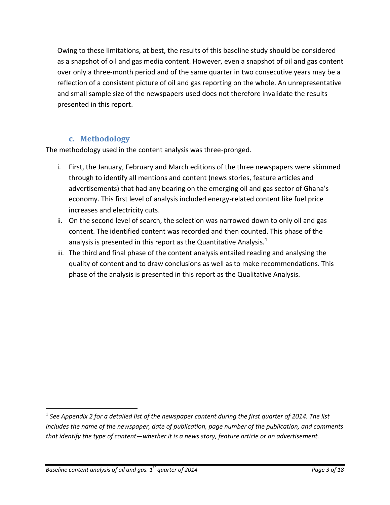Owing to these limitations, at best, the results of this baseline study should be considered as a snapshot of oil and gas media content. However, even a snapshot of oil and gas content over only a three-month period and of the same quarter in two consecutive years may be a reflection of a consistent picture of oil and gas reporting on the whole. An unrepresentative and small sample size of the newspapers used does not therefore invalidate the results presented in this report.

## **c. Methodology**

<span id="page-3-0"></span>The methodology used in the content analysis was three-pronged.

- i. First, the January, February and March editions of the three newspapers were skimmed through to identify all mentions and content (news stories, feature articles and advertisements) that had any bearing on the emerging oil and gas sector of Ghana's economy. This first level of analysis included energy-related content like fuel price increases and electricity cuts.
- ii. On the second level of search, the selection was narrowed down to only oil and gas content. The identified content was recorded and then counted. This phase of the analysis is presented in this report as the Quantitative Analysis. $<sup>1</sup>$ </sup>
- iii. The third and final phase of the content analysis entailed reading and analysing the quality of content and to draw conclusions as well as to make recommendations. This phase of the analysis is presented in this report as the Qualitative Analysis.

 $\overline{a}$ 

 $^{\rm 1}$  See Appendix 2 for a detailed list of the newspaper content during the first quarter of 2014. The list *includes the name of the newspaper, date of publication, page number of the publication, and comments that identify the type of content—whether it is a news story, feature article or an advertisement.*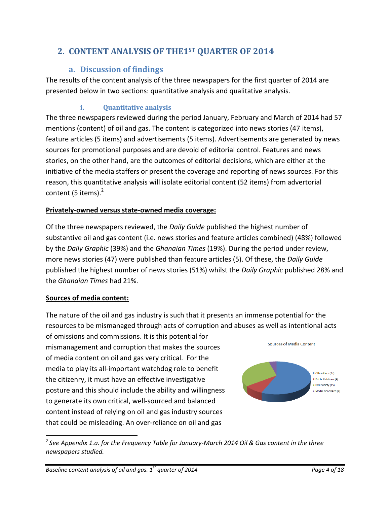# <span id="page-4-1"></span><span id="page-4-0"></span>**2. CONTENT ANALYSIS OF THE1ST QUARTER OF 2014**

## **a. Discussion of findings**

The results of the content analysis of the three newspapers for the first quarter of 2014 are presented below in two sections: quantitative analysis and qualitative analysis.

## **i. Quantitative analysis**

<span id="page-4-2"></span>The three newspapers reviewed during the period January, February and March of 2014 had 57 mentions (content) of oil and gas. The content is categorized into news stories (47 items), feature articles (5 items) and advertisements (5 items). Advertisements are generated by news sources for promotional purposes and are devoid of editorial control. Features and news stories, on the other hand, are the outcomes of editorial decisions, which are either at the initiative of the media staffers or present the coverage and reporting of news sources. For this reason, this quantitative analysis will isolate editorial content (52 items) from advertorial content (5 items).<sup>2</sup>

## **Privately-owned versus state-owned media coverage:**

Of the three newspapers reviewed, the *Daily Guide* published the highest number of substantive oil and gas content (i.e. news stories and feature articles combined) (48%) followed by the *Daily Graphic* (39%) and the *Ghanaian Times* (19%). During the period under review, more news stories (47) were published than feature articles (5). Of these, the *Daily Guide* published the highest number of news stories (51%) whilst the *Daily Graphic* published 28% and the *Ghanaian Times* had 21%.

## **Sources of media content:**

 $\overline{a}$ 

The nature of the oil and gas industry is such that it presents an immense potential for the resources to be mismanaged through acts of corruption and abuses as well as intentional acts

of omissions and commissions. It is this potential for mismanagement and corruption that makes the sources of media content on oil and gas very critical. For the media to play its all-important watchdog role to benefit the citizenry, it must have an effective investigative posture and this should include the ability and willingness to generate its own critical, well-sourced and balanced content instead of relying on oil and gas industry sources that could be misleading. An over-reliance on oil and gas



*2 See Appendix 1.a. for the Frequency Table for January-March 2014 Oil & Gas content in the three newspapers studied.*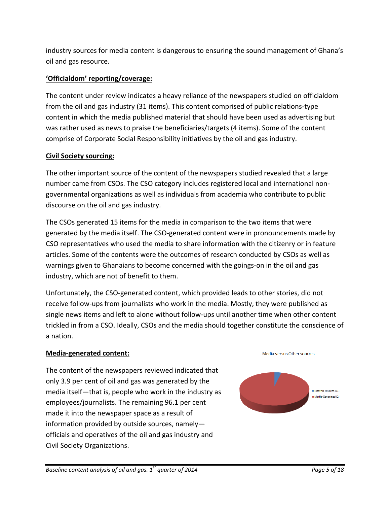industry sources for media content is dangerous to ensuring the sound management of Ghana's oil and gas resource.

## **'Officialdom' reporting/coverage:**

The content under review indicates a heavy reliance of the newspapers studied on officialdom from the oil and gas industry (31 items). This content comprised of public relations-type content in which the media published material that should have been used as advertising but was rather used as news to praise the beneficiaries/targets (4 items). Some of the content comprise of Corporate Social Responsibility initiatives by the oil and gas industry.

#### **Civil Society sourcing:**

The other important source of the content of the newspapers studied revealed that a large number came from CSOs. The CSO category includes registered local and international nongovernmental organizations as well as individuals from academia who contribute to public discourse on the oil and gas industry.

The CSOs generated 15 items for the media in comparison to the two items that were generated by the media itself. The CSO-generated content were in pronouncements made by CSO representatives who used the media to share information with the citizenry or in feature articles. Some of the contents were the outcomes of research conducted by CSOs as well as warnings given to Ghanaians to become concerned with the goings-on in the oil and gas industry, which are not of benefit to them.

Unfortunately, the CSO-generated content, which provided leads to other stories, did not receive follow-ups from journalists who work in the media. Mostly, they were published as single news items and left to alone without follow-ups until another time when other content trickled in from a CSO. Ideally, CSOs and the media should together constitute the conscience of a nation.

#### **Media-generated content:**

The content of the newspapers reviewed indicated that only 3.9 per cent of oil and gas was generated by the media itself—that is, people who work in the industry as employees/journalists. The remaining 96.1 per cent made it into the newspaper space as a result of information provided by outside sources, namely officials and operatives of the oil and gas industry and Civil Society Organizations.



Media versus Other sources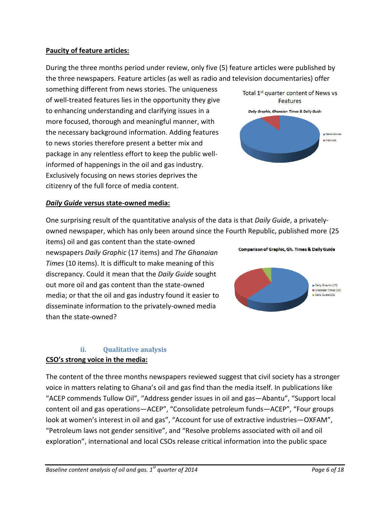#### **Paucity of feature articles:**

During the three months period under review, only five (5) feature articles were published by the three newspapers. Feature articles (as well as radio and television documentaries) offer

something different from news stories. The uniqueness of well-treated features lies in the opportunity they give to enhancing understanding and clarifying issues in a more focused, thorough and meaningful manner, with the necessary background information. Adding features to news stories therefore present a better mix and package in any relentless effort to keep the public wellinformed of happenings in the oil and gas industry. Exclusively focusing on news stories deprives the citizenry of the full force of media content.



**Comparison of Graphic, Gh. Times & Daily Guide** 

#### *Daily Guide* **versus state-owned media:**

One surprising result of the quantitative analysis of the data is that *Daily Guide*, a privatelyowned newspaper, which has only been around since the Fourth Republic, published more (25

items) oil and gas content than the state-owned newspapers *Daily Graphic* (17 items) and *The Ghanaian Times* (10 items). It is difficult to make meaning of this discrepancy. Could it mean that the *Daily Guide* sought out more oil and gas content than the state-owned media; or that the oil and gas industry found it easier to disseminate information to the privately-owned media than the state-owned?

#### **ii. Qualitative analysis**

#### <span id="page-6-0"></span>**CSO's strong voice in the media:**

The content of the three months newspapers reviewed suggest that civil society has a stronger voice in matters relating to Ghana's oil and gas find than the media itself. In publications like "ACEP commends Tullow Oil", "Address gender issues in oil and gas—Abantu", "Support local content oil and gas operations—ACEP", "Consolidate petroleum funds—ACEP", "Four groups look at women's interest in oil and gas", "Account for use of extractive industries-OXFAM", "Petroleum laws not gender sensitive", and "Resolve problems associated with oil and oil exploration", international and local CSOs release critical information into the public space

Daily Graphic (17) Ghanaian Times (10) Daily Guide (25)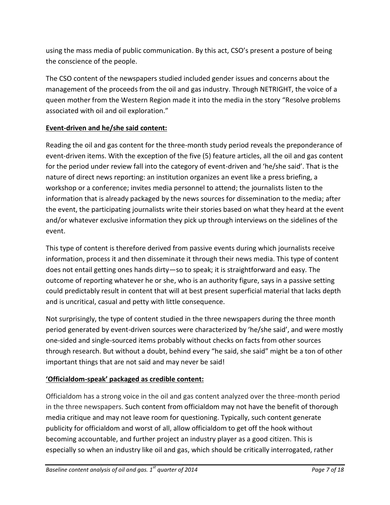using the mass media of public communication. By this act, CSO's present a posture of being the conscience of the people.

The CSO content of the newspapers studied included gender issues and concerns about the management of the proceeds from the oil and gas industry. Through NETRIGHT, the voice of a queen mother from the Western Region made it into the media in the story "Resolve problems associated with oil and oil exploration."

## **Event-driven and he/she said content:**

Reading the oil and gas content for the three-month study period reveals the preponderance of event-driven items. With the exception of the five (5) feature articles, all the oil and gas content for the period under review fall into the category of event-driven and 'he/she said'. That is the nature of direct news reporting: an institution organizes an event like a press briefing, a workshop or a conference; invites media personnel to attend; the journalists listen to the information that is already packaged by the news sources for dissemination to the media; after the event, the participating journalists write their stories based on what they heard at the event and/or whatever exclusive information they pick up through interviews on the sidelines of the event.

This type of content is therefore derived from passive events during which journalists receive information, process it and then disseminate it through their news media. This type of content does not entail getting ones hands dirty—so to speak; it is straightforward and easy. The outcome of reporting whatever he or she, who is an authority figure, says in a passive setting could predictably result in content that will at best present superficial material that lacks depth and is uncritical, casual and petty with little consequence.

Not surprisingly, the type of content studied in the three newspapers during the three month period generated by event-driven sources were characterized by 'he/she said', and were mostly one-sided and single-sourced items probably without checks on facts from other sources through research. But without a doubt, behind every "he said, she said" might be a ton of other important things that are not said and may never be said!

## **'Officialdom-speak' packaged as credible content:**

Officialdom has a strong voice in the oil and gas content analyzed over the three-month period in the three newspapers. Such content from officialdom may not have the benefit of thorough media critique and may not leave room for questioning. Typically, such content generate publicity for officialdom and worst of all, allow officialdom to get off the hook without becoming accountable, and further project an industry player as a good citizen. This is especially so when an industry like oil and gas, which should be critically interrogated, rather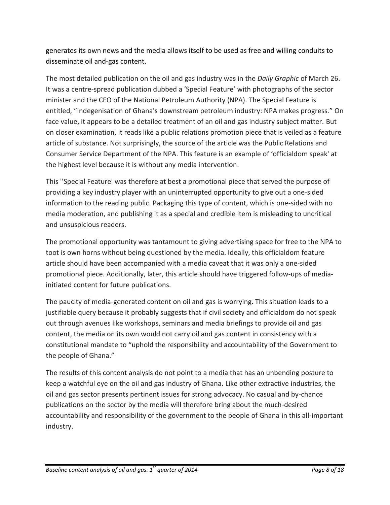generates its own news and the media allows itself to be used as free and willing conduits to disseminate oil and-gas content.

The most detailed publication on the oil and gas industry was in the *Daily Graphic* of March 26. It was a centre-spread publication dubbed a 'Special Feature' with photographs of the sector minister and the CEO of the National Petroleum Authority (NPA). The Special Feature is entitled, "Indegenisation of Ghana's downstream petroleum industry: NPA makes progress." On face value, it appears to be a detailed treatment of an oil and gas industry subject matter. But on closer examination, it reads like a public relations promotion piece that is veiled as a feature article of substance. Not surprisingly, the source of the article was the Public Relations and Consumer Service Department of the NPA. This feature is an example of 'officialdom speak' at the highest level because it is without any media intervention.

This ''Special Feature' was therefore at best a promotional piece that served the purpose of providing a key industry player with an uninterrupted opportunity to give out a one-sided information to the reading public. Packaging this type of content, which is one-sided with no media moderation, and publishing it as a special and credible item is misleading to uncritical and unsuspicious readers.

The promotional opportunity was tantamount to giving advertising space for free to the NPA to toot is own horns without being questioned by the media. Ideally, this officialdom feature article should have been accompanied with a media caveat that it was only a one-sided promotional piece. Additionally, later, this article should have triggered follow-ups of mediainitiated content for future publications.

The paucity of media-generated content on oil and gas is worrying. This situation leads to a justifiable query because it probably suggests that if civil society and officialdom do not speak out through avenues like workshops, seminars and media briefings to provide oil and gas content, the media on its own would not carry oil and gas content in consistency with a constitutional mandate to "uphold the responsibility and accountability of the Government to the people of Ghana."

The results of this content analysis do not point to a media that has an unbending posture to keep a watchful eye on the oil and gas industry of Ghana. Like other extractive industries, the oil and gas sector presents pertinent issues for strong advocacy. No casual and by-chance publications on the sector by the media will therefore bring about the much-desired accountability and responsibility of the government to the people of Ghana in this all-important industry.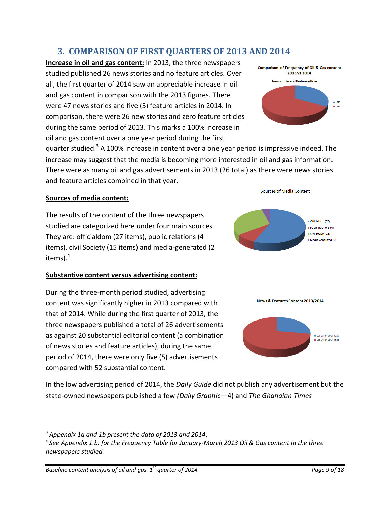## **3. COMPARISON OF FIRST QUARTERS OF 2013 AND 2014**

<span id="page-9-0"></span>**Increase in oil and gas content:** In 2013, the three newspapers studied published 26 news stories and no feature articles. Over all, the first quarter of 2014 saw an appreciable increase in oil and gas content in comparison with the 2013 figures. There were 47 news stories and five (5) feature articles in 2014. In comparison, there were 26 new stories and zero feature articles during the same period of 2013. This marks a 100% increase in oil and gas content over a one year period during the first



quarter studied.<sup>3</sup> A 100% increase in content over a one year period is impressive indeed. The increase may suggest that the media is becoming more interested in oil and gas information. There were as many oil and gas advertisements in 2013 (26 total) as there were news stories and feature articles combined in that year.

#### **Sources of media content:**

The results of the content of the three newspapers studied are categorized here under four main sources. They are: officialdom (27 items), public relations (4 items), civil Society (15 items) and media-generated (2 items). 4

#### **Substantive content versus advertising content:**

During the three-month period studied, advertising content was significantly higher in 2013 compared with that of 2014. While during the first quarter of 2013, the three newspapers published a total of 26 advertisements as against 20 substantial editorial content (a combination of news stories and feature articles), during the same period of 2014, there were only five (5) advertisements compared with 52 substantial content.







In the low advertising period of 2014, the *Daily Guide* did not publish any advertisement but the state-owned newspapers published a few *(Daily Graphic*—4) and *The Ghanaian Times*

 $\overline{a}$ 

<sup>3</sup> *Appendix 1a and 1b present the data of 2013 and 2014*.

<sup>4</sup> *See Appendix 1.b. for the Frequency Table for January-March 2013 Oil & Gas content in the three newspapers studied.*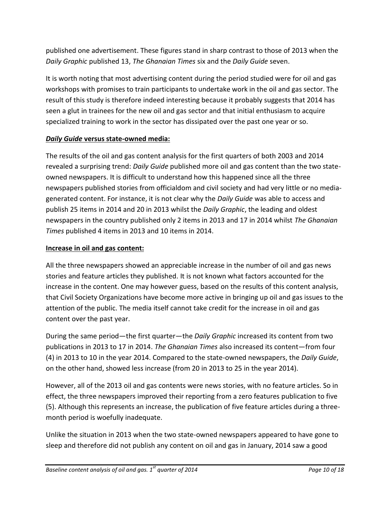published one advertisement. These figures stand in sharp contrast to those of 2013 when the *Daily Graphic* published 13, *The Ghanaian Times* six and the *Daily Guide* seven.

It is worth noting that most advertising content during the period studied were for oil and gas workshops with promises to train participants to undertake work in the oil and gas sector. The result of this study is therefore indeed interesting because it probably suggests that 2014 has seen a glut in trainees for the new oil and gas sector and that initial enthusiasm to acquire specialized training to work in the sector has dissipated over the past one year or so.

## *Daily Guide* **versus state-owned media:**

The results of the oil and gas content analysis for the first quarters of both 2003 and 2014 revealed a surprising trend: *Daily Guide* published more oil and gas content than the two stateowned newspapers. It is difficult to understand how this happened since all the three newspapers published stories from officialdom and civil society and had very little or no mediagenerated content. For instance, it is not clear why the *Daily Guide* was able to access and publish 25 items in 2014 and 20 in 2013 whilst the *Daily Graphic*, the leading and oldest newspapers in the country published only 2 items in 2013 and 17 in 2014 whilst *The Ghanaian Times* published 4 items in 2013 and 10 items in 2014.

#### **Increase in oil and gas content:**

All the three newspapers showed an appreciable increase in the number of oil and gas news stories and feature articles they published. It is not known what factors accounted for the increase in the content. One may however guess, based on the results of this content analysis, that Civil Society Organizations have become more active in bringing up oil and gas issues to the attention of the public. The media itself cannot take credit for the increase in oil and gas content over the past year.

During the same period—the first quarter—the *Daily Graphic* increased its content from two publications in 2013 to 17 in 2014. *The Ghanaian Times* also increased its content—from four (4) in 2013 to 10 in the year 2014. Compared to the state-owned newspapers, the *Daily Guide*, on the other hand, showed less increase (from 20 in 2013 to 25 in the year 2014).

However, all of the 2013 oil and gas contents were news stories, with no feature articles. So in effect, the three newspapers improved their reporting from a zero features publication to five (5). Although this represents an increase, the publication of five feature articles during a threemonth period is woefully inadequate.

Unlike the situation in 2013 when the two state-owned newspapers appeared to have gone to sleep and therefore did not publish any content on oil and gas in January, 2014 saw a good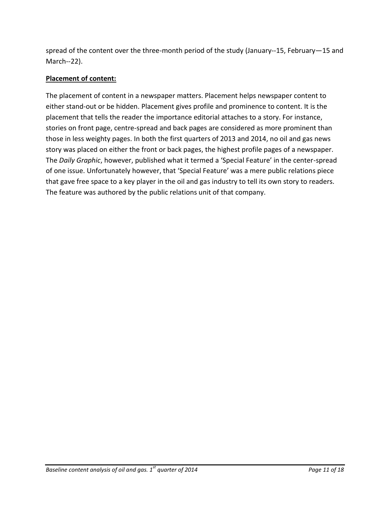spread of the content over the three-month period of the study (January--15, February—15 and March--22).

## **Placement of content:**

The placement of content in a newspaper matters. Placement helps newspaper content to either stand-out or be hidden. Placement gives profile and prominence to content. It is the placement that tells the reader the importance editorial attaches to a story. For instance, stories on front page, centre-spread and back pages are considered as more prominent than those in less weighty pages. In both the first quarters of 2013 and 2014, no oil and gas news story was placed on either the front or back pages, the highest profile pages of a newspaper. The *Daily Graphic*, however, published what it termed a 'Special Feature' in the center-spread of one issue. Unfortunately however, that 'Special Feature' was a mere public relations piece that gave free space to a key player in the oil and gas industry to tell its own story to readers. The feature was authored by the public relations unit of that company.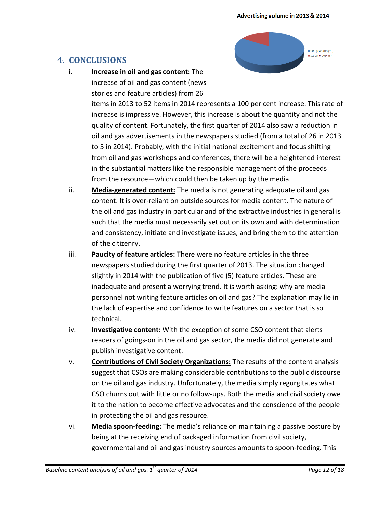■ 1st Qtr of 2013 (26)  $\equiv$  1st Otr of 2014 (5)

## <span id="page-12-0"></span>**4. CONCLUSIONS**

**i. Increase in oil and gas content:** The increase of oil and gas content (news

stories and feature articles) from 26

items in 2013 to 52 items in 2014 represents a 100 per cent increase. This rate of increase is impressive. However, this increase is about the quantity and not the quality of content. Fortunately, the first quarter of 2014 also saw a reduction in oil and gas advertisements in the newspapers studied (from a total of 26 in 2013 to 5 in 2014). Probably, with the initial national excitement and focus shifting from oil and gas workshops and conferences, there will be a heightened interest in the substantial matters like the responsible management of the proceeds from the resource—which could then be taken up by the media.

- ii. **Media-generated content:** The media is not generating adequate oil and gas content. It is over-reliant on outside sources for media content. The nature of the oil and gas industry in particular and of the extractive industries in general is such that the media must necessarily set out on its own and with determination and consistency, initiate and investigate issues, and bring them to the attention of the citizenry.
- iii. **Paucity of feature articles:** There were no feature articles in the three newspapers studied during the first quarter of 2013. The situation changed slightly in 2014 with the publication of five (5) feature articles. These are inadequate and present a worrying trend. It is worth asking: why are media personnel not writing feature articles on oil and gas? The explanation may lie in the lack of expertise and confidence to write features on a sector that is so technical.
- iv. **Investigative content:** With the exception of some CSO content that alerts readers of goings-on in the oil and gas sector, the media did not generate and publish investigative content.
- v. **Contributions of Civil Society Organizations:** The results of the content analysis suggest that CSOs are making considerable contributions to the public discourse on the oil and gas industry. Unfortunately, the media simply regurgitates what CSO churns out with little or no follow-ups. Both the media and civil society owe it to the nation to become effective advocates and the conscience of the people in protecting the oil and gas resource.
- vi. **Media spoon-feeding:** The media's reliance on maintaining a passive posture by being at the receiving end of packaged information from civil society, governmental and oil and gas industry sources amounts to spoon-feeding. This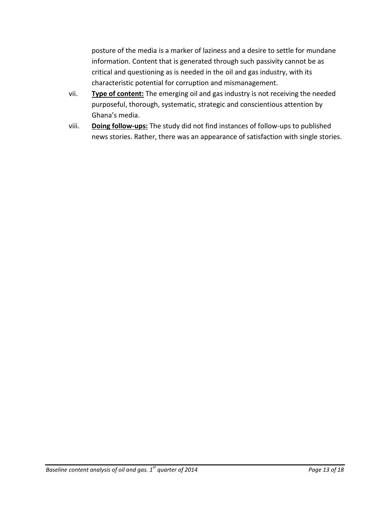posture of the media is a marker of laziness and a desire to settle for mundane information. Content that is generated through such passivity cannot be as critical and questioning as is needed in the oil and gas industry, with its characteristic potential for corruption and mismanagement.

- vii. **Type of content:** The emerging oil and gas industry is not receiving the needed purposeful, thorough, systematic, strategic and conscientious attention by Ghana's media.
- viii. **Doing follow-ups:** The study did not find instances of follow-ups to published news stories. Rather, there was an appearance of satisfaction with single stories.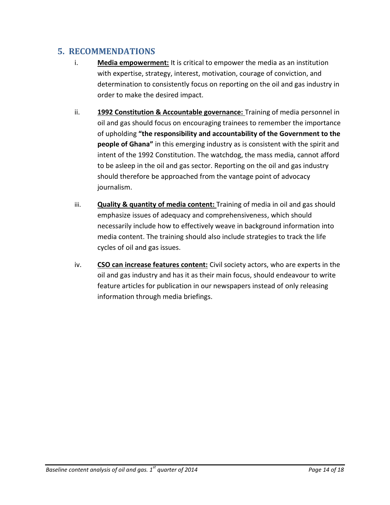## <span id="page-14-0"></span>**5. RECOMMENDATIONS**

- i. **Media empowerment:** It is critical to empower the media as an institution with expertise, strategy, interest, motivation, courage of conviction, and determination to consistently focus on reporting on the oil and gas industry in order to make the desired impact.
- ii. **1992 Constitution & Accountable governance:** Training of media personnel in oil and gas should focus on encouraging trainees to remember the importance of upholding **"the responsibility and accountability of the Government to the people of Ghana"** in this emerging industry as is consistent with the spirit and intent of the 1992 Constitution. The watchdog, the mass media, cannot afford to be asleep in the oil and gas sector. Reporting on the oil and gas industry should therefore be approached from the vantage point of advocacy journalism.
- iii. **Quality & quantity of media content:** Training of media in oil and gas should emphasize issues of adequacy and comprehensiveness, which should necessarily include how to effectively weave in background information into media content. The training should also include strategies to track the life cycles of oil and gas issues.
- iv. **CSO can increase features content:** Civil society actors, who are experts in the oil and gas industry and has it as their main focus, should endeavour to write feature articles for publication in our newspapers instead of only releasing information through media briefings.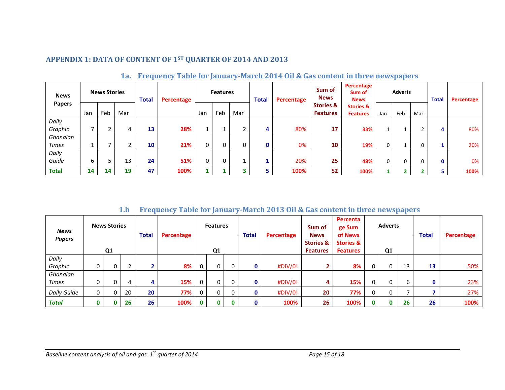## **APPENDIX 1: DATA OF CONTENT OF 1ST QUARTER OF 2014 AND 2013**

| <b>News</b><br><b>Papers</b> |     | <b>News Stories</b> |     | <b>Total</b> | Percentage |     | <b>Features</b> |     | <b>Total</b> | Percentage | Sum of<br><b>News</b>                   | Percentage<br>Sum of<br><b>News</b>     |     | <b>Adverts</b> |     | <b>Total</b> | Percentage |
|------------------------------|-----|---------------------|-----|--------------|------------|-----|-----------------|-----|--------------|------------|-----------------------------------------|-----------------------------------------|-----|----------------|-----|--------------|------------|
|                              | Jan | Feb                 | Mar |              |            | Jan | Feb             | Mar |              |            | <b>Stories &amp;</b><br><b>Features</b> | <b>Stories &amp;</b><br><b>Features</b> | Jan | Feb            | Mar |              |            |
| Daily                        |     |                     |     |              |            |     |                 |     |              |            |                                         |                                         |     |                |     |              |            |
| Graphic                      |     |                     | 4   | 13           | 28%        |     | <b>.</b>        |     | 4            | 80%        | 17                                      | 33%                                     |     |                |     | 4            | 80%        |
| Ghanaian                     |     |                     |     |              |            |     |                 |     |              |            |                                         |                                         |     |                |     |              |            |
| <b>Times</b>                 | Ŧ.  |                     | ∽   | 10           | 21%        | 0   | 0               | 0   | 0            | 0%         | 10                                      | 19%                                     | 0   |                | 0   |              | 20%        |
| Daily                        |     |                     |     |              |            |     |                 |     |              |            |                                         |                                         |     |                |     |              |            |
| Guide                        | 6   |                     | 13  | 24           | 51%        | 0   | 0               |     |              | 20%        | 25                                      | 48%                                     | 0   | 0              | 0   | $\mathbf{0}$ | 0%         |
| <b>Total</b>                 | 14  | 14                  | 19  | 47           | 100%       |     |                 | 3   | 5            | 100%       | 52                                      | 100%                                    |     |                |     | 5            | 100%       |

## **1a. Frequency Table for January-March 2014 Oil & Gas content in three newspapers**

**1.b Frequency Table for January-March 2013 Oil & Gas content in three newspapers**

<span id="page-15-2"></span><span id="page-15-1"></span><span id="page-15-0"></span>

| <b>News</b>   | <b>News Stories</b> |   | <b>Total</b>    |              | Percentage |                | <b>Features</b> |                                         | <b>Total</b> | Percentage | Sum of<br><b>News</b><br><b>Stories &amp;</b><br><b>Features</b> | Percenta<br>ge Sum<br>of News | <b>Adverts</b><br>Q <sub>1</sub> |   |    | <b>Total</b> | Percentage |
|---------------|---------------------|---|-----------------|--------------|------------|----------------|-----------------|-----------------------------------------|--------------|------------|------------------------------------------------------------------|-------------------------------|----------------------------------|---|----|--------------|------------|
| <b>Papers</b> | Q <sub>1</sub>      |   |                 |              |            | Q <sub>1</sub> |                 | <b>Stories &amp;</b><br><b>Features</b> |              |            |                                                                  |                               |                                  |   |    |              |            |
| Daily         |                     |   |                 |              |            |                |                 |                                         |              |            |                                                                  |                               |                                  |   |    |              |            |
| Graphic       | 0                   |   | h<br>$\epsilon$ | $\mathbf{2}$ | 8%         | 0              |                 | 0                                       | 0            | #DIV/0!    | $\mathbf{2}$                                                     | 8%                            | $\overline{0}$                   | 0 | 13 | 13           | 50%        |
| Ghanaian      |                     |   |                 |              |            |                |                 |                                         |              |            |                                                                  |                               |                                  |   |    |              |            |
| <b>Times</b>  | 0                   |   | 4               | 4            | 15%        | 0              | 0               | 0                                       | 0            | #DIV/0!    | 4                                                                | 15%                           | 0                                | ი | 6  | 6            | 23%        |
| Daily Guide   | 0                   |   | 20              | 20           | 77%        | 0              |                 | 0                                       | 0            | #DIV/0!    | 20                                                               | 77%                           | $\mathbf{0}$                     | 0 |    |              | 27%        |
| Total         | 0                   | 0 | 26              | 26           | 100%       | $\mathbf{0}$   | $\Omega$        | 0                                       | 0            | 100%       | 26                                                               | 100%                          | $\mathbf{0}$                     | U | 26 | 26           | 100%       |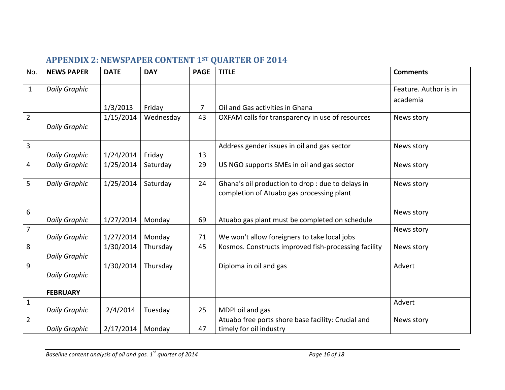# **APPENDIX 2: NEWSPAPER CONTENT 1ST QUARTER OF 2014**

<span id="page-16-0"></span>

| No.            | <b>NEWS PAPER</b>    | <b>DATE</b> | <b>DAY</b> | <b>PAGE</b>    | <b>TITLE</b>                                                                                   | <b>Comments</b>                   |
|----------------|----------------------|-------------|------------|----------------|------------------------------------------------------------------------------------------------|-----------------------------------|
| $\mathbf{1}$   | <b>Daily Graphic</b> | 1/3/2013    | Friday     | $\overline{7}$ | Oil and Gas activities in Ghana                                                                | Feature. Author is in<br>academia |
| $\overline{2}$ | <b>Daily Graphic</b> | 1/15/2014   | Wednesday  | 43             | OXFAM calls for transparency in use of resources                                               | News story                        |
| 3              | <b>Daily Graphic</b> | 1/24/2014   | Friday     | 13             | Address gender issues in oil and gas sector                                                    | News story                        |
| 4              | <b>Daily Graphic</b> | 1/25/2014   | Saturday   | 29             | US NGO supports SMEs in oil and gas sector                                                     | News story                        |
| 5              | <b>Daily Graphic</b> | 1/25/2014   | Saturday   | 24             | Ghana's oil production to drop : due to delays in<br>completion of Atuabo gas processing plant | News story                        |
| 6              | <b>Daily Graphic</b> | 1/27/2014   | Monday     | 69             | Atuabo gas plant must be completed on schedule                                                 | News story                        |
| $\overline{7}$ | <b>Daily Graphic</b> | 1/27/2014   | Monday     | 71             | We won't allow foreigners to take local jobs                                                   | News story                        |
| 8              | <b>Daily Graphic</b> | 1/30/2014   | Thursday   | 45             | Kosmos. Constructs improved fish-processing facility                                           | News story                        |
| 9              | <b>Daily Graphic</b> | 1/30/2014   | Thursday   |                | Diploma in oil and gas                                                                         | Advert                            |
|                | <b>FEBRUARY</b>      |             |            |                |                                                                                                |                                   |
| $\mathbf 1$    | <b>Daily Graphic</b> | 2/4/2014    | Tuesday    | 25             | MDPI oil and gas                                                                               | Advert                            |
| $\overline{2}$ | <b>Daily Graphic</b> | 2/17/2014   | Monday     | 47             | Atuabo free ports shore base facility: Crucial and<br>timely for oil industry                  | News story                        |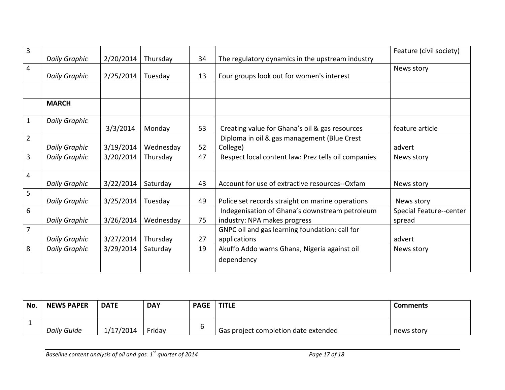| 3              | <b>Daily Graphic</b> | 2/20/2014 | Thursday  | 34 | The regulatory dynamics in the upstream industry                               | Feature (civil society)           |
|----------------|----------------------|-----------|-----------|----|--------------------------------------------------------------------------------|-----------------------------------|
| 4              | <b>Daily Graphic</b> | 2/25/2014 | Tuesday   | 13 | Four groups look out for women's interest                                      | News story                        |
|                |                      |           |           |    |                                                                                |                                   |
|                | <b>MARCH</b>         |           |           |    |                                                                                |                                   |
| $\mathbf{1}$   | <b>Daily Graphic</b> | 3/3/2014  | Monday    | 53 | Creating value for Ghana's oil & gas resources                                 | feature article                   |
| $\overline{2}$ | <b>Daily Graphic</b> | 3/19/2014 | Wednesday | 52 | Diploma in oil & gas management (Blue Crest<br>College)                        | advert                            |
| 3              | <b>Daily Graphic</b> | 3/20/2014 | Thursday  | 47 | Respect local content law: Prez tells oil companies                            | News story                        |
| 4              | <b>Daily Graphic</b> | 3/22/2014 | Saturday  | 43 | Account for use of extractive resources--Oxfam                                 | News story                        |
| 5              | <b>Daily Graphic</b> | 3/25/2014 | Tuesday   | 49 | Police set records straight on marine operations                               | News story                        |
| 6              | <b>Daily Graphic</b> | 3/26/2014 | Wednesday | 75 | Indegenisation of Ghana's downstream petroleum<br>industry: NPA makes progress | Special Feature--center<br>spread |
| $\overline{7}$ | <b>Daily Graphic</b> | 3/27/2014 | Thursday  | 27 | GNPC oil and gas learning foundation: call for<br>applications                 | advert                            |
| 8              | <b>Daily Graphic</b> | 3/29/2014 | Saturday  | 19 | Akuffo Addo warns Ghana, Nigeria against oil<br>dependency                     | News story                        |

| No. | <b>NEWS PAPER</b>  | <b>DATE</b> | <b>DAY</b> | <b>PAGE</b> | <b>TITLE</b>                         | <b>Comments</b> |
|-----|--------------------|-------------|------------|-------------|--------------------------------------|-----------------|
|     | <b>Daily Guide</b> | 1/17/2014   | Friday     |             | Gas project completion date extended | news story      |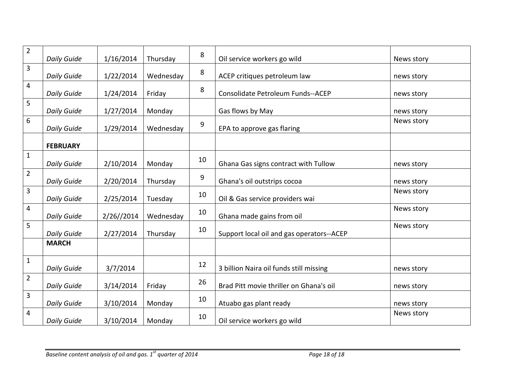| $\overline{2}$ | <b>Daily Guide</b> | 1/16/2014  | Thursday  | 8  | Oil service workers go wild               | News story |
|----------------|--------------------|------------|-----------|----|-------------------------------------------|------------|
| 3              | <b>Daily Guide</b> | 1/22/2014  | Wednesday | 8  | ACEP critiques petroleum law              | news story |
| 4              | <b>Daily Guide</b> | 1/24/2014  | Friday    | 8  | Consolidate Petroleum Funds--ACEP         | news story |
| 5              | <b>Daily Guide</b> | 1/27/2014  | Monday    |    | Gas flows by May                          | news story |
| 6              | <b>Daily Guide</b> | 1/29/2014  | Wednesday | 9  | EPA to approve gas flaring                | News story |
|                | <b>FEBRUARY</b>    |            |           |    |                                           |            |
| $\mathbf{1}$   | <b>Daily Guide</b> | 2/10/2014  | Monday    | 10 | Ghana Gas signs contract with Tullow      | news story |
| $\overline{2}$ | <b>Daily Guide</b> | 2/20/2014  | Thursday  | 9  | Ghana's oil outstrips cocoa               | news story |
| 3              | <b>Daily Guide</b> | 2/25/2014  | Tuesday   | 10 | Oil & Gas service providers wai           | News story |
| 4              | <b>Daily Guide</b> | 2/26//2014 | Wednesday | 10 | Ghana made gains from oil                 | News story |
| 5              | <b>Daily Guide</b> | 2/27/2014  | Thursday  | 10 | Support local oil and gas operators--ACEP | News story |
|                | <b>MARCH</b>       |            |           |    |                                           |            |
| $\mathbf{1}$   | <b>Daily Guide</b> | 3/7/2014   |           | 12 | 3 billion Naira oil funds still missing   | news story |
| $\overline{2}$ | <b>Daily Guide</b> | 3/14/2014  | Friday    | 26 | Brad Pitt movie thriller on Ghana's oil   | news story |
| 3              | <b>Daily Guide</b> | 3/10/2014  | Monday    | 10 | Atuabo gas plant ready                    | news story |
| $\overline{4}$ | <b>Daily Guide</b> | 3/10/2014  | Monday    | 10 | Oil service workers go wild               | News story |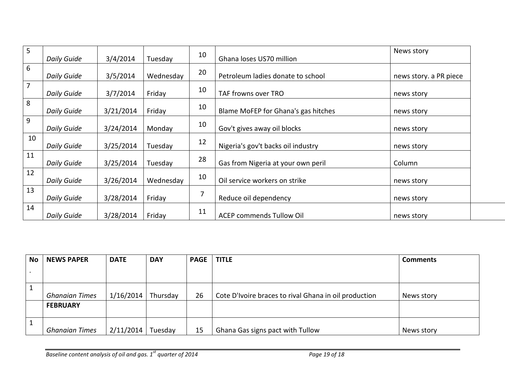| 5              |                    |           |           | 10 |                                     | News story             |
|----------------|--------------------|-----------|-----------|----|-------------------------------------|------------------------|
|                | <b>Daily Guide</b> | 3/4/2014  | Tuesday   |    | Ghana loses US70 million            |                        |
| 6              | Daily Guide        | 3/5/2014  | Wednesday | 20 | Petroleum ladies donate to school   | news story. a PR piece |
| $\overline{7}$ | <b>Daily Guide</b> | 3/7/2014  | Friday    | 10 | TAF frowns over TRO                 | news story             |
| 8              | <b>Daily Guide</b> | 3/21/2014 | Friday    | 10 | Blame MoFEP for Ghana's gas hitches | news story             |
| 9              | Daily Guide        | 3/24/2014 | Monday    | 10 | Gov't gives away oil blocks         | news story             |
| 10             | Daily Guide        | 3/25/2014 | Tuesday   | 12 | Nigeria's gov't backs oil industry  | news story             |
| 11             | Daily Guide        | 3/25/2014 | Tuesday   | 28 | Gas from Nigeria at your own peril  | Column                 |
| 12             | Daily Guide        | 3/26/2014 | Wednesday | 10 | Oil service workers on strike       | news story             |
| 13             | Daily Guide        | 3/28/2014 | Friday    | 7  | Reduce oil dependency               | news story             |
| 14             | Daily Guide        | 3/28/2014 | Friday    | 11 | <b>ACEP commends Tullow Oil</b>     | news story             |

| <b>No</b> | <b>NEWS PAPER</b>     | <b>DATE</b> | <b>DAY</b> | <b>PAGE</b> | <b>TITLE</b>                                          | <b>Comments</b> |
|-----------|-----------------------|-------------|------------|-------------|-------------------------------------------------------|-----------------|
|           |                       |             |            |             |                                                       |                 |
|           |                       |             |            |             |                                                       |                 |
|           |                       |             |            |             |                                                       |                 |
|           | <b>Ghanaian Times</b> | 1/16/2014   | Thursday   | 26          | Cote D'Ivoire braces to rival Ghana in oil production | News story      |
|           | <b>FEBRUARY</b>       |             |            |             |                                                       |                 |
|           |                       |             |            |             |                                                       |                 |
|           |                       |             |            |             |                                                       |                 |
|           | <b>Ghanaian Times</b> | 2/11/2014   | Tuesday    | 15          | Ghana Gas signs pact with Tullow                      | News story      |